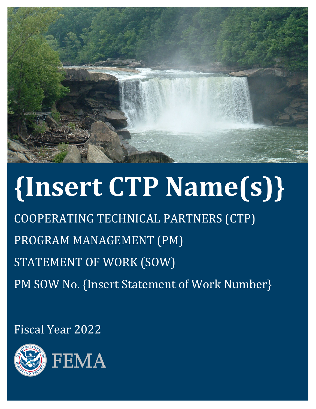

# **{Insert CTP Name(s)}**

COOPERATING TECHNICAL PARTNERS (CTP) PROGRAM MANAGEMENT (PM) STATEMENT OF WORK (SOW) PM SOW No. {Insert Statement of Work Number}

Fiscal Year 2022

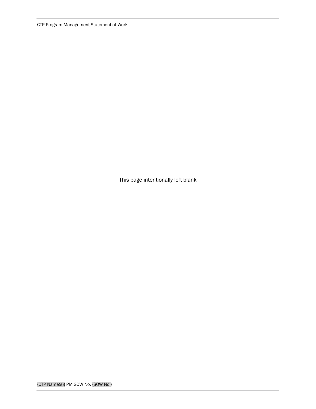CTP Program Management Statement of Work

This page intentionally left blank

{CTP Name(s)} PM SOW No. {SOW No.}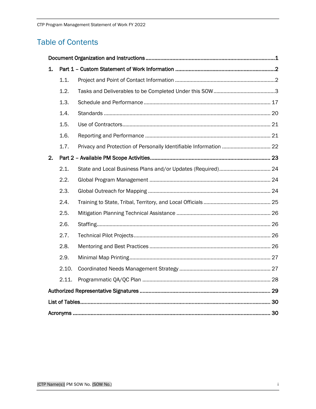CTP Program Management Statement of Work FY 2022

## **Table of Contents**

| 1. |       |  |  |  |  |
|----|-------|--|--|--|--|
|    | 1.1.  |  |  |  |  |
|    | 1.2.  |  |  |  |  |
|    | 1.3.  |  |  |  |  |
|    | 1.4.  |  |  |  |  |
|    | 1.5.  |  |  |  |  |
|    | 1.6.  |  |  |  |  |
|    | 1.7.  |  |  |  |  |
| 2. |       |  |  |  |  |
|    | 2.1.  |  |  |  |  |
|    | 2.2.  |  |  |  |  |
|    | 2.3.  |  |  |  |  |
|    | 2.4.  |  |  |  |  |
|    | 2.5.  |  |  |  |  |
|    | 2.6.  |  |  |  |  |
|    | 2.7.  |  |  |  |  |
|    | 2.8.  |  |  |  |  |
|    | 2.9.  |  |  |  |  |
|    | 2.10. |  |  |  |  |
|    | 2.11. |  |  |  |  |
|    |       |  |  |  |  |
|    |       |  |  |  |  |
|    |       |  |  |  |  |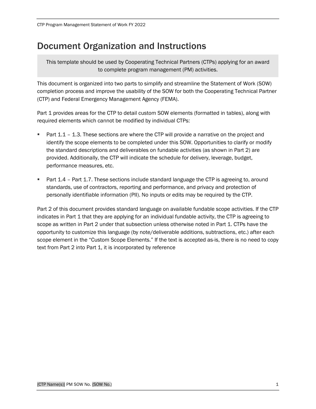# <span id="page-3-0"></span>Document Organization and Instructions

This template should be used by Cooperating Technical Partners (CTPs) applying for an award to complete program management (PM) activities.

This document is organized into two parts to simplify and streamline the Statement of Work (SOW) completion process and improve the usability of the SOW for both the Cooperating Technical Partner (CTP) and Federal Emergency Management Agency (FEMA).

Part 1 provides areas for the CTP to detail custom SOW elements (formatted in tables), along with required elements which cannot be modified by individual CTPs:

- Part 1.1 1.3. These sections are where the CTP will provide a narrative on the project and identify the scope elements to be completed under this SOW. Opportunities to clarify or modify the standard descriptions and deliverables on fundable activities (as shown in Part 2) are provided. Additionally, the CTP will indicate the schedule for delivery, leverage, budget, performance measures, etc.
- Part 1.4 Part 1.7. These sections include standard language the CTP is agreeing to, around standards, use of contractors, reporting and performance, and privacy and protection of personally identifiable information (PII). No inputs or edits may be required by the CTP.

Part 2 of this document provides standard language on available fundable scope activities. If the CTP indicates in Part 1 that they are applying for an individual fundable activity, the CTP is agreeing to scope as written in Part 2 under that subsection unless otherwise noted in Part 1. CTPs have the opportunity to customize this language (by note/deliverable additions, subtractions, etc.) after each scope element in the "Custom Scope Elements." If the text is accepted as-is, there is no need to copy text from Part 2 into Part 1, it is incorporated by reference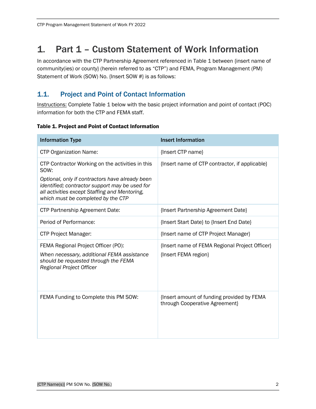# <span id="page-4-0"></span>1. Part 1 – Custom Statement of Work Information

In accordance with the CTP Partnership Agreement referenced in [Table 1](#page-4-2) between {insert name of community(ies) or county} (herein referred to as "CTP") and FEMA, Program Management (PM) Statement of Work (SOW) No. {Insert SOW #} is as follows:

## <span id="page-4-1"></span>1.1. Project and Point of Contact Information

Instructions: Complete [Table 1](#page-4-2) below with the basic project information and point of contact (POC) information for both the CTP and FEMA staff.

<span id="page-4-2"></span>Table 1. Project and Point of Contact Information

| <b>Information Type</b>                                                                                                                                                                  | <b>Insert Information</b>                                                    |
|------------------------------------------------------------------------------------------------------------------------------------------------------------------------------------------|------------------------------------------------------------------------------|
| <b>CTP Organization Name:</b>                                                                                                                                                            | {Insert CTP name}                                                            |
| CTP Contractor Working on the activities in this<br>SOW:                                                                                                                                 | {Insert name of CTP contractor, if applicable}                               |
| Optional, only if contractors have already been<br>identified; contractor support may be used for<br>all activities except Staffing and Mentoring,<br>which must be completed by the CTP |                                                                              |
| <b>CTP Partnership Agreement Date:</b>                                                                                                                                                   | {Insert Partnership Agreement Date}                                          |
| Period of Performance:                                                                                                                                                                   | {Insert Start Date} to {Insert End Date}                                     |
| <b>CTP Project Manager:</b>                                                                                                                                                              | {Insert name of CTP Project Manager}                                         |
| FEMA Regional Project Officer (PO):<br>When necessary, additional FEMA assistance<br>should be requested through the FEMA<br>Regional Project Officer                                    | {Insert name of FEMA Regional Project Officer}<br>{Insert FEMA region}       |
| FEMA Funding to Complete this PM SOW:                                                                                                                                                    | {Insert amount of funding provided by FEMA<br>through Cooperative Agreement} |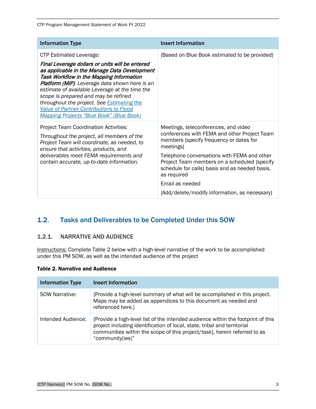| <b>Information Type</b>                                                                                                                                                                                                                                                                                                                                                                                                                                                                    | <b>Insert Information</b>                                                                                                                                                                                                                                                                                                                                                        |
|--------------------------------------------------------------------------------------------------------------------------------------------------------------------------------------------------------------------------------------------------------------------------------------------------------------------------------------------------------------------------------------------------------------------------------------------------------------------------------------------|----------------------------------------------------------------------------------------------------------------------------------------------------------------------------------------------------------------------------------------------------------------------------------------------------------------------------------------------------------------------------------|
| <b>CTP Estimated Leverage:</b><br>Final Leverage dollars or units will be entered<br>as applicable in the Manage Data Development<br>Task Workflow in the Mapping Information<br><b>Platform (MIP).</b> Leverage data shown here is an<br>estimate of available Leverage at the time the<br>scope is prepared and may be refined<br>throughout the project. See <b>Estimating the</b><br><b>Value of Partner Contributions to Flood</b><br><b>Mapping Projects "Blue Book" (Blue Book)</b> | {Based on Blue Book estimated to be provided}                                                                                                                                                                                                                                                                                                                                    |
| <b>Project Team Coordination Activities:</b><br>Throughout the project, all members of the<br>Project Team will coordinate, as needed, to<br>ensure that activities, products, and<br>deliverables meet FEMA requirements and<br>contain accurate, up-to-date information.                                                                                                                                                                                                                 | Meetings, teleconferences, and video<br>conferences with FEMA and other Project Team<br>members {specify frequency or dates for<br>meetings}<br>Telephone conversations with FEMA and other<br>Project Team members on a scheduled {specify<br>schedule for calls} basis and as needed basis,<br>as required<br>Email as needed<br>{Add/delete/modify information, as necessary} |

## <span id="page-5-0"></span>1.2. Tasks and Deliverables to be Completed Under this SOW

#### 1.2.1. NARRATIVE AND AUDIENCE

Instructions: Complete [Table 2](#page-5-1) below with a high-level narrative of the work to be accomplished under this PM SOW, as well as the intended audience of the project

<span id="page-5-1"></span>

|  |  | <b>Table 2. Narrative and Audience</b> |  |
|--|--|----------------------------------------|--|
|--|--|----------------------------------------|--|

| <b>Information Type</b> | <b>Insert Information</b>                                                                                                                                                                                                                                     |
|-------------------------|---------------------------------------------------------------------------------------------------------------------------------------------------------------------------------------------------------------------------------------------------------------|
| <b>SOW Narrative:</b>   | {Provide a high-level summary of what will be accomplished in this project.<br>Maps may be added as appendices to this document as needed and<br>referenced here.}                                                                                            |
| Intended Audience:      | {Provide a high-level list of the intended audience within the footprint of this<br>project including identification of local, state, tribal and territorial<br>communities within the scope of this project/task}, herein referred to as<br>"community(ies)" |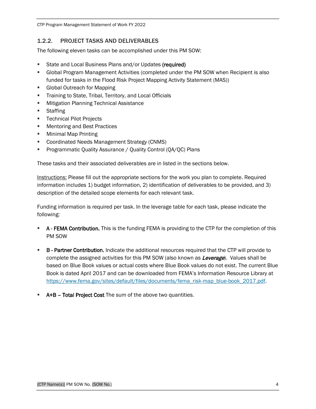## <span id="page-6-0"></span>1.2.2. PROJECT TASKS AND DELIVERABLES

The following eleven tasks can be accomplished under this PM SOW:

- State and Local Business Plans and/or Updates (required)
- Global Program Management Activities (completed under the PM SOW when Recipient is also funded for tasks in the Flood Risk Project Mapping Activity Statement (MAS))
- **Global Outreach for Mapping**
- **Training to State, Tribal, Territory, and Local Officials**
- **Mitigation Planning Technical Assistance**
- **Staffing**
- **Technical Pilot Projects**
- **Mentoring and Best Practices**
- **Minimal Map Printing**
- **Coordinated Needs Management Strategy (CNMS)**
- **Programmatic Quality Assurance / Quality Control (QA/QC) Plans**

These tasks and their associated deliverables are in listed in the sections below.

Instructions: Please fill out the appropriate sections for the work you plan to complete. Required information includes 1) budget information, 2) identification of deliverables to be provided, and 3) description of the detailed scope elements for each relevant task.

Funding information is required per task. In the leverage table for each task, please indicate the following:

- **A FEMA Contribution.** This is the funding FEMA is providing to the CTP for the completion of this PM SOW
- **B** Partner Contribution. Indicate the additional resources required that the CTP will provide to complete the assigned activities for this PM SOW (also known as *Leverage*). Values shall be based on Blue Book values or actual costs where Blue Book values do not exist. The current Blue Book is dated April 2017 and can be downloaded from FEMA's Information Resource Library at [https://www.fema.gov/sites/default/files/documents/fema\\_risk-map\\_blue-book\\_2017.pdf.](https://www.fema.gov/sites/default/files/documents/fema_risk-map_blue-book_2017.pdf)
- **4 A+B Total Project Cost** The sum of the above two quantities.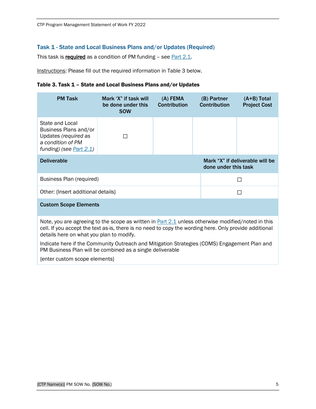## Task 1 - State and Local Business Plans and/or Updates (Required)

This task is **required** as a condition of PM funding  $-$  see **Part 2.1**.

Instructions: Please fill out the required information in [Table 3](#page-7-0) below.

<span id="page-7-0"></span>

|  |  | Table 3. Task 1 - State and Local Business Plans and/or Updates |  |  |  |  |  |  |
|--|--|-----------------------------------------------------------------|--|--|--|--|--|--|
|--|--|-----------------------------------------------------------------|--|--|--|--|--|--|

| <b>PM Task</b>                                                                                                                                                                                                                                                  | Mark 'X" if task will<br>be done under this<br><b>SOW</b> | $(A)$ FEMA<br><b>Contribution</b> | (B) Partner<br><b>Contribution</b> | $(A+B)$ Total<br><b>Project Cost</b> |  |  |  |
|-----------------------------------------------------------------------------------------------------------------------------------------------------------------------------------------------------------------------------------------------------------------|-----------------------------------------------------------|-----------------------------------|------------------------------------|--------------------------------------|--|--|--|
| State and Local<br>Business Plans and/or<br>Updates (required as<br>a condition of PM<br>funding) (see Part 2.1)                                                                                                                                                | $\sim$                                                    |                                   |                                    |                                      |  |  |  |
| <b>Deliverable</b><br>Mark "X" if deliverable will be<br>done under this task                                                                                                                                                                                   |                                                           |                                   |                                    |                                      |  |  |  |
| Business Plan (required)<br>П                                                                                                                                                                                                                                   |                                                           |                                   |                                    |                                      |  |  |  |
| Other: {Insert additional details}<br>П                                                                                                                                                                                                                         |                                                           |                                   |                                    |                                      |  |  |  |
| <b>Custom Scope Elements</b>                                                                                                                                                                                                                                    |                                                           |                                   |                                    |                                      |  |  |  |
| Note, you are agreeing to the scope as written in <b>Part 2.1</b> unless otherwise modified/noted in this<br>cell. If you accept the text as-is, there is no need to copy the wording here. Only provide additional<br>details here on what you plan to modify. |                                                           |                                   |                                    |                                      |  |  |  |
| Indicate here if the Community Outreach and Mitigation Strategies (COMS) Engagement Plan and<br>PM Business Plan will be combined as a single deliverable                                                                                                       |                                                           |                                   |                                    |                                      |  |  |  |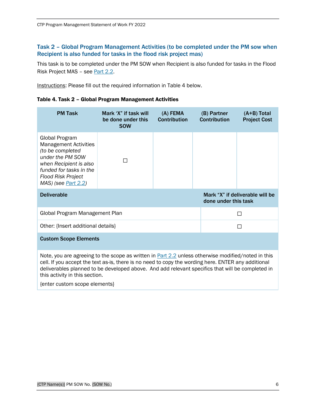#### Task 2 – Global Program Management Activities (to be completed under the PM sow when Recipient is also funded for tasks in the flood risk project mas)

This task is to be completed under the PM SOW when Recipient is also funded for tasks in the Flood Risk Project MAS - see [Part 2.2.](#page-26-1)

Instructions: Please fill out the required information in [Table 4](#page-8-0) below.

<span id="page-8-0"></span>

| Table 4. Task 2 - Global Program Management Activities |  |
|--------------------------------------------------------|--|
|--------------------------------------------------------|--|

| <b>PM Task</b>                                                                                                                                                                                                                                                                                                                                         | Mark 'X" if task will<br>be done under this<br><b>SOW</b> | $(A)$ FEMA<br><b>Contribution</b> | (B) Partner<br><b>Contribution</b> | $(A+B)$ Total<br><b>Project Cost</b> |  |  |  |
|--------------------------------------------------------------------------------------------------------------------------------------------------------------------------------------------------------------------------------------------------------------------------------------------------------------------------------------------------------|-----------------------------------------------------------|-----------------------------------|------------------------------------|--------------------------------------|--|--|--|
| Global Program<br><b>Management Activities</b><br>(to be completed<br>under the PM SOW<br>when Recipient is also<br>funded for tasks in the<br><b>Flood Risk Project</b><br>MAS) (see <u>Part 2.2</u> )                                                                                                                                                | П                                                         |                                   |                                    |                                      |  |  |  |
| <b>Deliverable</b><br>Mark "X" if deliverable will be<br>done under this task                                                                                                                                                                                                                                                                          |                                                           |                                   |                                    |                                      |  |  |  |
| Global Program Management Plan<br>П                                                                                                                                                                                                                                                                                                                    |                                                           |                                   |                                    |                                      |  |  |  |
| Other: {Insert additional details}<br>П                                                                                                                                                                                                                                                                                                                |                                                           |                                   |                                    |                                      |  |  |  |
| <b>Custom Scope Elements</b>                                                                                                                                                                                                                                                                                                                           |                                                           |                                   |                                    |                                      |  |  |  |
| Note, you are agreeing to the scope as written in <b>Part 2.2</b> unless otherwise modified/noted in this<br>cell. If you accept the text as-is, there is no need to copy the wording here. ENTER any additional<br>deliverables planned to be developed above. And add relevant specifics that will be completed in<br>this activity in this section. |                                                           |                                   |                                    |                                      |  |  |  |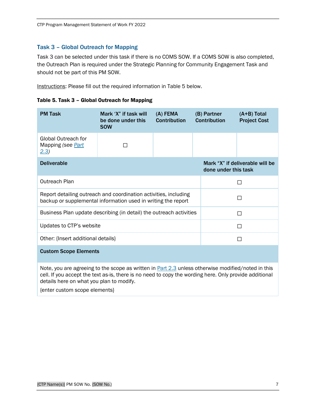## Task 3 – Global Outreach for Mapping

Task 3 can be selected under this task if there is no COMS SOW. If a COMS SOW is also completed, the Outreach Plan is required under the Strategic Planning for Community Engagement Task and should not be part of this PM SOW.

Instructions: Please fill out the required information in [Table 5](#page-9-0) below.

<span id="page-9-0"></span>

| Table 5. Task 3 - Global Outreach for Mapping |
|-----------------------------------------------|
|-----------------------------------------------|

| <b>PM Task</b>                                                                                                                         | Mark 'X" if task will<br>be done under this<br><b>SOW</b> | $(A)$ FEMA<br><b>Contribution</b> | (B) Partner<br><b>Contribution</b> | $(A+B)$ Total<br><b>Project Cost</b> |  |  |
|----------------------------------------------------------------------------------------------------------------------------------------|-----------------------------------------------------------|-----------------------------------|------------------------------------|--------------------------------------|--|--|
| <b>Global Outreach for</b><br>Mapping (see <b>Part</b><br>2.3)                                                                         |                                                           |                                   |                                    |                                      |  |  |
| <b>Deliverable</b><br>Mark "X" if deliverable will be<br>done under this task                                                          |                                                           |                                   |                                    |                                      |  |  |
| Outreach Plan<br>П                                                                                                                     |                                                           |                                   |                                    |                                      |  |  |
| Report detailing outreach and coordination activities, including<br>П<br>backup or supplemental information used in writing the report |                                                           |                                   |                                    |                                      |  |  |
| Business Plan update describing (in detail) the outreach activities<br>П                                                               |                                                           |                                   |                                    |                                      |  |  |
| Updates to CTP's website<br>П                                                                                                          |                                                           |                                   |                                    |                                      |  |  |
| Other: {Insert additional details}                                                                                                     |                                                           |                                   |                                    |                                      |  |  |
| <b>Custom Scope Elements</b>                                                                                                           |                                                           |                                   |                                    |                                      |  |  |
| Note you are agreeing to the scope as written in Part 2.3 unless otherwise modified/noted in this                                      |                                                           |                                   |                                    |                                      |  |  |

Note, you are agreeing to the scope as written in <u>Part 2.3</u> unless otherwise modified/noted in this cell. If you accept the text as-is, there is no need to copy the wording here. Only provide additional details here on what you plan to modify.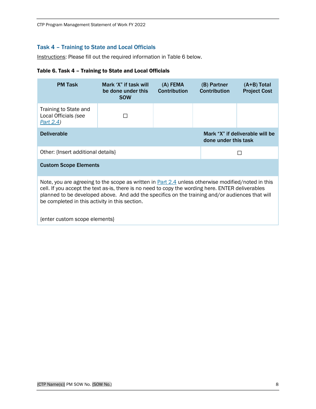## Task 4 – Training to State and Local Officials

Instructions: Please fill out the required information in [Table 6](#page-10-0) below.

#### <span id="page-10-0"></span>Table 6. Task 4 – Training to State and Local Officials

| <b>PM Task</b>                                                                                                                                                                                                                                                                                                                                                      | Mark 'X" if task will<br>be done under this<br><b>SOW</b> | $(A)$ FEMA<br><b>Contribution</b> | (B) Partner<br><b>Contribution</b> | $(A+B)$ Total<br><b>Project Cost</b> |  |  |  |
|---------------------------------------------------------------------------------------------------------------------------------------------------------------------------------------------------------------------------------------------------------------------------------------------------------------------------------------------------------------------|-----------------------------------------------------------|-----------------------------------|------------------------------------|--------------------------------------|--|--|--|
| Training to State and<br>Local Officials (see<br><u>Part 2.4)</u>                                                                                                                                                                                                                                                                                                   |                                                           |                                   |                                    |                                      |  |  |  |
| <b>Deliverable</b><br>Mark "X" if deliverable will be<br>done under this task                                                                                                                                                                                                                                                                                       |                                                           |                                   |                                    |                                      |  |  |  |
| Other: {Insert additional details}<br>$\mathsf{L}$                                                                                                                                                                                                                                                                                                                  |                                                           |                                   |                                    |                                      |  |  |  |
| <b>Custom Scope Elements</b>                                                                                                                                                                                                                                                                                                                                        |                                                           |                                   |                                    |                                      |  |  |  |
| Note, you are agreeing to the scope as written in <b>Part 2.4</b> unless otherwise modified/noted in this<br>cell. If you accept the text as-is, there is no need to copy the wording here. ENTER deliverables<br>planned to be developed above. And add the specifics on the training and/or audiences that will<br>be completed in this activity in this section. |                                                           |                                   |                                    |                                      |  |  |  |
| {enter custom scope elements}                                                                                                                                                                                                                                                                                                                                       |                                                           |                                   |                                    |                                      |  |  |  |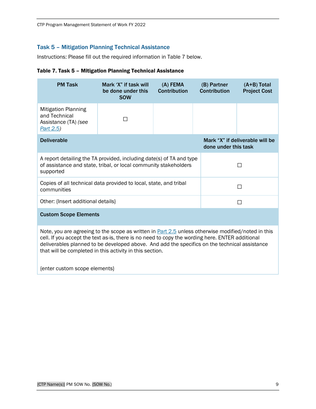## Task 5 – Mitigation Planning Technical Assistance

Instructions: Please fill out the required information in [Table 7](#page-11-0) below.

#### <span id="page-11-0"></span>Table 7. Task 5 – Mitigation Planning Technical Assistance

| <b>PM Task</b>                                                                                                                                                                                                                                                                                                                                                            | Mark 'X" if task will<br>be done under this<br><b>SOW</b> | $(A)$ FEMA<br><b>Contribution</b> | (B) Partner<br><b>Contribution</b> | $(A+B)$ Total<br><b>Project Cost</b> |
|---------------------------------------------------------------------------------------------------------------------------------------------------------------------------------------------------------------------------------------------------------------------------------------------------------------------------------------------------------------------------|-----------------------------------------------------------|-----------------------------------|------------------------------------|--------------------------------------|
| <b>Mitigation Planning</b><br>and Technical<br>Assistance (TA) (see<br>Part 2.5)                                                                                                                                                                                                                                                                                          | $\Box$                                                    |                                   |                                    |                                      |
| <b>Deliverable</b>                                                                                                                                                                                                                                                                                                                                                        |                                                           |                                   | done under this task               | Mark "X" if deliverable will be      |
| A report detailing the TA provided, including date(s) of TA and type<br>of assistance and state, tribal, or local community stakeholders<br>supported                                                                                                                                                                                                                     |                                                           | $\mathsf{L}$                      |                                    |                                      |
| Copies of all technical data provided to local, state, and tribal<br>communities                                                                                                                                                                                                                                                                                          |                                                           | П                                 |                                    |                                      |
| Other: {Insert additional details}                                                                                                                                                                                                                                                                                                                                        |                                                           |                                   |                                    | П                                    |
| <b>Custom Scope Elements</b>                                                                                                                                                                                                                                                                                                                                              |                                                           |                                   |                                    |                                      |
| Note, you are agreeing to the scope as written in <b>Part 2.5</b> unless otherwise modified/noted in this<br>cell. If you accept the text as-is, there is no need to copy the wording here. ENTER additional<br>deliverables planned to be developed above. And add the specifics on the technical assistance<br>that will be completed in this activity in this section. |                                                           |                                   |                                    |                                      |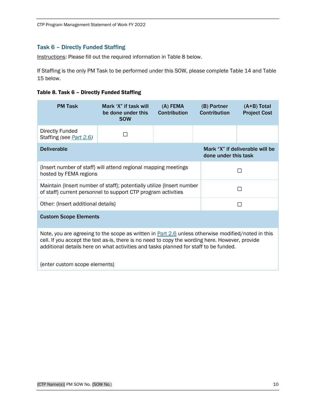## Task 6 – Directly Funded Staffing

Instructions: Please fill out the required information in [Table 8](#page-12-0) below.

If Staffing is the only PM Task to be performed under this SOW, please complete [Table 14](#page-18-0) and [Table](#page-19-1)  [15](#page-19-1) below.

#### <span id="page-12-0"></span>Table 8. Task 6 – Directly Funded Staffing

| <b>PM Task</b>                                                                                                                                                                                                                                                                                       | Mark 'X" if task will<br>be done under this<br><b>SOW</b> | $(A)$ FEMA<br><b>Contribution</b> | (B) Partner<br><b>Contribution</b> | $(A+B)$ Total<br><b>Project Cost</b> |
|------------------------------------------------------------------------------------------------------------------------------------------------------------------------------------------------------------------------------------------------------------------------------------------------------|-----------------------------------------------------------|-----------------------------------|------------------------------------|--------------------------------------|
| <b>Directly Funded</b><br>Staffing (see Part 2.6)                                                                                                                                                                                                                                                    |                                                           |                                   |                                    |                                      |
| <b>Deliverable</b>                                                                                                                                                                                                                                                                                   |                                                           |                                   | done under this task               | Mark "X" if deliverable will be      |
| {Insert number of staff} will attend regional mapping meetings<br>П<br>hosted by FEMA regions                                                                                                                                                                                                        |                                                           |                                   |                                    |                                      |
| Maintain {lnsert number of staff}; potentially utilize {lnsert number<br>of staff} current personnel to support CTP program activities                                                                                                                                                               |                                                           | П                                 |                                    |                                      |
| Other: {Insert additional details}                                                                                                                                                                                                                                                                   |                                                           |                                   |                                    | П                                    |
| <b>Custom Scope Elements</b>                                                                                                                                                                                                                                                                         |                                                           |                                   |                                    |                                      |
| Note, you are agreeing to the scope as written in <b>Part 2.6</b> unless otherwise modified/noted in this<br>cell. If you accept the text as-is, there is no need to copy the wording here. However, provide<br>additional details here on what activities and tasks planned for staff to be funded. |                                                           |                                   |                                    |                                      |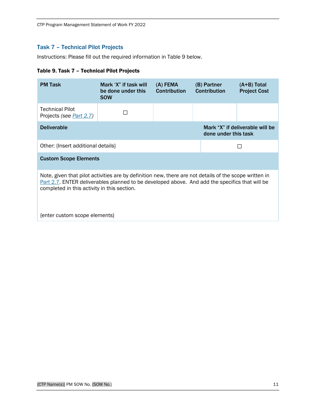## Task 7 – Technical Pilot Projects

Instructions: Please fill out the required information in [Table 9](#page-13-0) below.

<span id="page-13-0"></span>Table 9. Task 7 – Technical Pilot Projects

| <b>PM Task</b>                                                                                                                                                                                                                                          | Mark 'X" if task will<br>be done under this<br><b>SOW</b> | $(A)$ FEMA<br><b>Contribution</b> | (B) Partner<br><b>Contribution</b> | $(A+B)$ Total<br><b>Project Cost</b> |
|---------------------------------------------------------------------------------------------------------------------------------------------------------------------------------------------------------------------------------------------------------|-----------------------------------------------------------|-----------------------------------|------------------------------------|--------------------------------------|
| <b>Technical Pilot</b><br>Projects (see Part 2.7)                                                                                                                                                                                                       |                                                           |                                   |                                    |                                      |
| <b>Deliverable</b>                                                                                                                                                                                                                                      |                                                           |                                   | done under this task               | Mark "X" if deliverable will be      |
| Other: {Insert additional details}                                                                                                                                                                                                                      |                                                           |                                   |                                    | ш                                    |
| <b>Custom Scope Elements</b>                                                                                                                                                                                                                            |                                                           |                                   |                                    |                                      |
| Note, given that pilot activities are by definition new, there are not details of the scope written in<br>Part 2.7. ENTER deliverables planned to be developed above. And add the specifics that will be<br>completed in this activity in this section. |                                                           |                                   |                                    |                                      |
| {enter custom scope elements}                                                                                                                                                                                                                           |                                                           |                                   |                                    |                                      |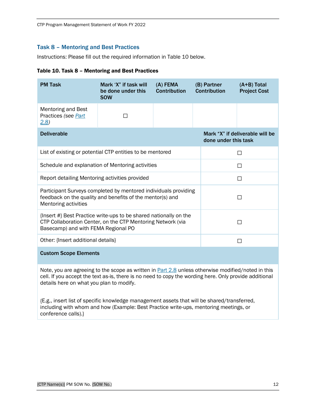## Task 8 – Mentoring and Best Practices

Instructions: Please fill out the required information in [Table 10](#page-14-0) below.

#### <span id="page-14-0"></span>Table 10. Task 8 – Mentoring and Best Practices

| <b>PM Task</b>                                                                                                                                                                                                                                                  | Mark 'X" if task will<br>be done under this<br><b>SOW</b> | $(A)$ FEMA<br><b>Contribution</b> | (B) Partner<br><b>Contribution</b> | $(A+B)$ Total<br><b>Project Cost</b> |  |
|-----------------------------------------------------------------------------------------------------------------------------------------------------------------------------------------------------------------------------------------------------------------|-----------------------------------------------------------|-----------------------------------|------------------------------------|--------------------------------------|--|
| <b>Mentoring and Best</b><br>Practices (see Part<br>(2.8)                                                                                                                                                                                                       | П                                                         |                                   |                                    |                                      |  |
| <b>Deliverable</b>                                                                                                                                                                                                                                              |                                                           |                                   | done under this task               | Mark "X" if deliverable will be      |  |
| List of existing or potential CTP entities to be mentored                                                                                                                                                                                                       |                                                           |                                   |                                    | $\Box$                               |  |
| Schedule and explanation of Mentoring activities                                                                                                                                                                                                                |                                                           |                                   |                                    | П                                    |  |
| Report detailing Mentoring activities provided                                                                                                                                                                                                                  |                                                           |                                   |                                    | П                                    |  |
| Participant Surveys completed by mentored individuals providing<br>feedback on the quality and benefits of the mentor(s) and<br><b>Mentoring activities</b>                                                                                                     |                                                           | □                                 |                                    |                                      |  |
| {Insert #} Best Practice write-ups to be shared nationally on the<br>CTP Collaboration Center, on the CTP Mentoring Network (via<br>Basecamp) and with FEMA Regional PO                                                                                         |                                                           | П                                 |                                    |                                      |  |
| Other: {Insert additional details}                                                                                                                                                                                                                              |                                                           |                                   |                                    | П                                    |  |
| <b>Custom Scope Elements</b>                                                                                                                                                                                                                                    |                                                           |                                   |                                    |                                      |  |
| Note, you are agreeing to the scope as written in <b>Part 2.8</b> unless otherwise modified/noted in this<br>cell. If you accept the text as-is, there is no need to copy the wording here. Only provide additional<br>details here on what you plan to modify. |                                                           |                                   |                                    |                                      |  |

{E.g., insert list of specific knowledge management assets that will be shared/transferred, including with whom and how (Example: Best Practice write-ups, mentoring meetings, or conference calls).}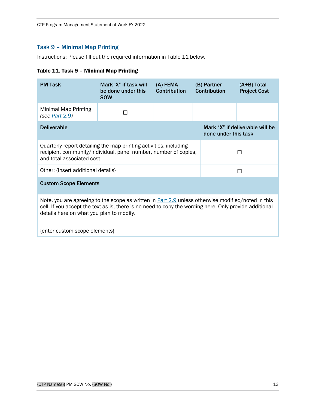## Task 9 – Minimal Map Printing

Instructions: Please fill out the required information in [Table 11](#page-15-0) below.

#### <span id="page-15-0"></span>Table 11. Task 9 – Minimal Map Printing

| <b>PM Task</b>                                                                                                                                                                                                                                                  | Mark 'X" if task will<br>be done under this<br><b>SOW</b> | $(A)$ FEMA<br><b>Contribution</b> | (B) Partner<br><b>Contribution</b> | $(A+B)$ Total<br><b>Project Cost</b> |
|-----------------------------------------------------------------------------------------------------------------------------------------------------------------------------------------------------------------------------------------------------------------|-----------------------------------------------------------|-----------------------------------|------------------------------------|--------------------------------------|
| <b>Minimal Map Printing</b><br>(see <i>Part 2.9</i> )                                                                                                                                                                                                           |                                                           |                                   |                                    |                                      |
| <b>Deliverable</b>                                                                                                                                                                                                                                              |                                                           |                                   | done under this task               | Mark "X" if deliverable will be      |
| Quarterly report detailing the map printing activities, including<br>recipient community/individual, panel number, number of copies,<br>l.<br>and total associated cost                                                                                         |                                                           |                                   |                                    |                                      |
| Other: {Insert additional details}<br>П                                                                                                                                                                                                                         |                                                           |                                   |                                    |                                      |
| <b>Custom Scope Elements</b>                                                                                                                                                                                                                                    |                                                           |                                   |                                    |                                      |
| Note, you are agreeing to the scope as written in <b>Part 2.9</b> unless otherwise modified/noted in this<br>cell. If you accept the text as-is, there is no need to copy the wording here. Only provide additional<br>details here on what you plan to modify. |                                                           |                                   |                                    |                                      |
| {enter custom scope elements}                                                                                                                                                                                                                                   |                                                           |                                   |                                    |                                      |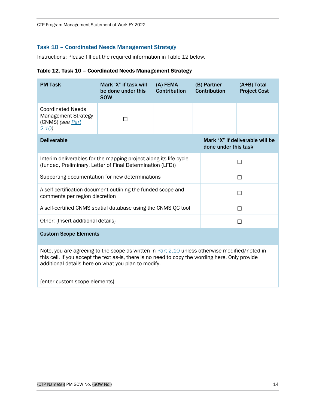## Task 10 – Coordinated Needs Management Strategy

Instructions: Please fill out the required information in [Table 12](#page-16-0) below.

#### <span id="page-16-0"></span>Table 12. Task 10 – Coordinated Needs Management Strategy

| <b>PM Task</b>                                                                                                                  | Mark 'X" if task will<br>be done under this<br><b>SOW</b> | $(A)$ FEMA<br><b>Contribution</b> | (B) Partner<br><b>Contribution</b> | $(A+B)$ Total<br><b>Project Cost</b> |
|---------------------------------------------------------------------------------------------------------------------------------|-----------------------------------------------------------|-----------------------------------|------------------------------------|--------------------------------------|
| <b>Coordinated Needs</b><br><b>Management Strategy</b><br>(CNMS) (see Part<br>2.10                                              |                                                           |                                   |                                    |                                      |
| <b>Deliverable</b>                                                                                                              |                                                           |                                   | done under this task               | Mark "X" if deliverable will be      |
| Interim deliverables for the mapping project along its life cycle<br>(funded, Preliminary, Letter of Final Determination (LFD)) |                                                           | $\Box$                            |                                    |                                      |
| Supporting documentation for new determinations                                                                                 |                                                           |                                   |                                    | ш                                    |
| A self-certification document outlining the funded scope and<br>comments per region discretion                                  |                                                           | П                                 |                                    |                                      |
| A self-certified CNMS spatial database using the CNMS QC tool                                                                   |                                                           |                                   |                                    | П                                    |
| Other: {Insert additional details}                                                                                              |                                                           |                                   |                                    |                                      |
| <b>Custom Scope Elements</b>                                                                                                    |                                                           |                                   |                                    |                                      |

Note, you are agreeing to the scope as written in **Part 2.10** unless otherwise modified/noted in this cell. If you accept the text as-is, there is no need to copy the wording here. Only provide additional details here on what you plan to modify.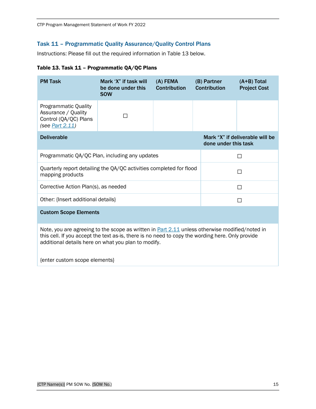## Task 11 – Programmatic Quality Assurance/Quality Control Plans

Instructions: Please fill out the required information in [Table 13](#page-17-0) below.

#### <span id="page-17-0"></span>Table 13. Task 11 – Programmatic QA/QC Plans

| <b>PM Task</b>                                                                                                                                                                                                                                              | Mark 'X" if task will<br>be done under this<br><b>SOW</b> | $(A)$ FEMA<br><b>Contribution</b> | (B) Partner<br><b>Contribution</b> | $(A+B)$ Total<br><b>Project Cost</b> |
|-------------------------------------------------------------------------------------------------------------------------------------------------------------------------------------------------------------------------------------------------------------|-----------------------------------------------------------|-----------------------------------|------------------------------------|--------------------------------------|
| <b>Programmatic Quality</b><br>Assurance / Quality<br>Control (QA/QC) Plans<br>(see Part 2.11)                                                                                                                                                              |                                                           |                                   |                                    |                                      |
| <b>Deliverable</b><br>Mark "X" if deliverable will be<br>done under this task                                                                                                                                                                               |                                                           |                                   |                                    |                                      |
| Programmatic QA/QC Plan, including any updates                                                                                                                                                                                                              |                                                           |                                   |                                    | П                                    |
| Quarterly report detailing the QA/QC activities completed for flood<br>mapping products                                                                                                                                                                     |                                                           | П                                 |                                    |                                      |
| Corrective Action Plan(s), as needed                                                                                                                                                                                                                        |                                                           | П                                 |                                    |                                      |
| Other: {Insert additional details}                                                                                                                                                                                                                          |                                                           | П                                 |                                    |                                      |
| <b>Custom Scope Elements</b>                                                                                                                                                                                                                                |                                                           |                                   |                                    |                                      |
| Note, you are agreeing to the scope as written in $Part 2.11$ unless otherwise modified/noted in<br>this cell. If you accept the text as-is, there is no need to copy the wording here. Only provide<br>additional details here on what you plan to modify. |                                                           |                                   |                                    |                                      |
| {enter custom scope elements}                                                                                                                                                                                                                               |                                                           |                                   |                                    |                                      |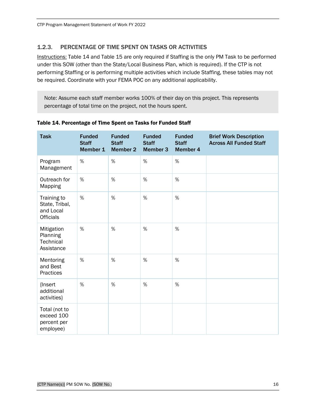## 1.2.3. PERCENTAGE OF TIME SPENT ON TASKS OR ACTIVITIES

Instructions: [Table 14](#page-18-0) and [Table 15](#page-19-1) are only required if Staffing is the only PM Task to be performed under this SOW (other than the State/Local Business Plan, which is required). If the CTP is not performing Staffing or is performing multiple activities which include Staffing, these tables may not be required. Coordinate with your FEMA POC on any additional applicability.

Note: Assume each staff member works 100% of their day on this project. This represents percentage of total time on the project, not the hours spent.

| <b>Task</b>                                                    | <b>Funded</b><br><b>Staff</b><br>Member 1 | <b>Funded</b><br><b>Staff</b><br>Member 2 | <b>Funded</b><br><b>Staff</b><br>Member 3 | <b>Funded</b><br><b>Staff</b><br>Member 4 | <b>Brief Work Description</b><br><b>Across All Funded Staff</b> |
|----------------------------------------------------------------|-------------------------------------------|-------------------------------------------|-------------------------------------------|-------------------------------------------|-----------------------------------------------------------------|
| Program<br>Management                                          | %                                         | %                                         | $\%$                                      | %                                         |                                                                 |
| Outreach for<br>Mapping                                        | $\%$                                      | %                                         | %                                         | %                                         |                                                                 |
| Training to<br>State, Tribal,<br>and Local<br><b>Officials</b> | %                                         | %                                         | %                                         | %                                         |                                                                 |
| Mitigation<br>Planning<br><b>Technical</b><br>Assistance       | %                                         | %                                         | %                                         | %                                         |                                                                 |
| Mentoring<br>and Best<br>Practices                             | $\%$                                      | $\%$                                      | %                                         | %                                         |                                                                 |
| {Insert<br>additional<br>activities}                           | %                                         | %                                         | %                                         | %                                         |                                                                 |
| Total (not to<br>exceed 100<br>percent per<br>employee)        |                                           |                                           |                                           |                                           |                                                                 |

#### <span id="page-18-0"></span>Table 14. Percentage of Time Spent on Tasks for Funded Staff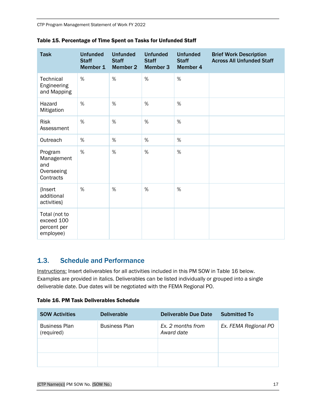CTP Program Management Statement of Work FY 2022

| <b>Task</b>                                             | <b>Unfunded</b><br><b>Staff</b><br>Member 1 | <b>Unfunded</b><br><b>Staff</b><br><b>Member 2</b> | <b>Unfunded</b><br><b>Staff</b><br>Member 3 | <b>Unfunded</b><br><b>Staff</b><br>Member 4 | <b>Brief Work Description</b><br><b>Across All Unfunded Staff</b> |
|---------------------------------------------------------|---------------------------------------------|----------------------------------------------------|---------------------------------------------|---------------------------------------------|-------------------------------------------------------------------|
| Technical<br>Engineering<br>and Mapping                 | %                                           | $\%$                                               | %                                           | %                                           |                                                                   |
| Hazard<br>Mitigation                                    | %                                           | %                                                  | %                                           | $\%$                                        |                                                                   |
| <b>Risk</b><br>Assessment                               | %                                           | %                                                  | %                                           | %                                           |                                                                   |
| Outreach                                                | %                                           | $\%$                                               | $\%$                                        | %                                           |                                                                   |
| Program<br>Management<br>and<br>Overseeing<br>Contracts | %                                           | %                                                  | %                                           | %                                           |                                                                   |
| {Insert<br>additional<br>activities}                    | %                                           | %                                                  | %                                           | %                                           |                                                                   |
| Total (not to<br>exceed 100<br>percent per<br>employee) |                                             |                                                    |                                             |                                             |                                                                   |

#### <span id="page-19-1"></span>Table 15. Percentage of Time Spent on Tasks for Unfunded Staff

## <span id="page-19-0"></span>1.3. Schedule and Performance

Instructions: Insert deliverables for all activities included in this PM SOW in [Table 16](#page-19-2) below. Examples are provided in italics. Deliverables can be listed individually or grouped into a single deliverable date. Due dates will be negotiated with the FEMA Regional PO.

<span id="page-19-2"></span>Table 16. PM Task Deliverables Schedule

| <b>SOW Activities</b>              | <b>Deliverable</b>   | Deliverable Due Date            | <b>Submitted To</b>  |
|------------------------------------|----------------------|---------------------------------|----------------------|
| <b>Business Plan</b><br>(required) | <b>Business Plan</b> | Ex. 2 months from<br>Award date | Ex. FEMA Regional PO |
|                                    |                      |                                 |                      |
|                                    |                      |                                 |                      |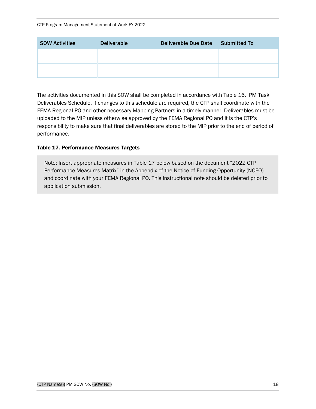| <b>SOW Activities</b> | <b>Deliverable</b> | <b>Deliverable Due Date</b> | <b>Submitted To</b> |
|-----------------------|--------------------|-----------------------------|---------------------|
|                       |                    |                             |                     |
|                       |                    |                             |                     |

The activities documented in this SOW shall be completed in accordance with [Table 16.](#page-19-2) PM Task Deliverables Schedule. If changes to this schedule are required, the CTP shall coordinate with the FEMA Regional PO and other necessary Mapping Partners in a timely manner. Deliverables must be uploaded to the MIP unless otherwise approved by the FEMA Regional PO and it is the CTP's responsibility to make sure that final deliverables are stored to the MIP prior to the end of period of performance.

#### <span id="page-20-0"></span>Table 17. Performance Measures Targets

Note: Insert appropriate measures in [Table 17](#page-20-0) below based on the document "2022 CTP Performance Measures Matrix" in the Appendix of the Notice of Funding Opportunity (NOFO) and coordinate with your FEMA Regional PO. This instructional note should be deleted prior to application submission.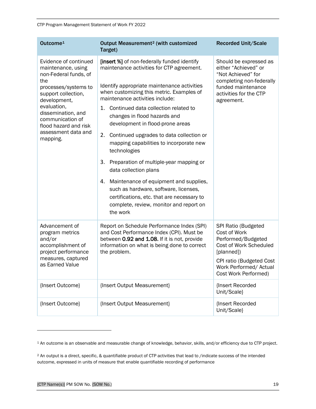| Outcome <sup>1</sup>                                                                                                                                                                                                                                            | Output Measurement <sup>2</sup> (with customized<br>Target)                                                                                                                                                                                                                                                                                                                                                                                                                                                                                                                                                                                                                                                                 | <b>Recorded Unit/Scale</b>                                                                                                                                                      |
|-----------------------------------------------------------------------------------------------------------------------------------------------------------------------------------------------------------------------------------------------------------------|-----------------------------------------------------------------------------------------------------------------------------------------------------------------------------------------------------------------------------------------------------------------------------------------------------------------------------------------------------------------------------------------------------------------------------------------------------------------------------------------------------------------------------------------------------------------------------------------------------------------------------------------------------------------------------------------------------------------------------|---------------------------------------------------------------------------------------------------------------------------------------------------------------------------------|
| Evidence of continued<br>maintenance, using<br>non-Federal funds, of<br>the<br>processes/systems to<br>support collection,<br>development,<br>evaluation,<br>dissemination, and<br>communication of<br>flood hazard and risk<br>assessment data and<br>mapping. | [insert %] of non-federally funded identify<br>maintenance activities for CTP agreement.<br>Identify appropriate maintenance activities<br>when customizing this metric. Examples of<br>maintenance activities include:<br>Continued data collection related to<br>1.<br>changes in flood hazards and<br>development in flood-prone areas<br>2. Continued upgrades to data collection or<br>mapping capabilities to incorporate new<br>technologies<br>3.<br>Preparation of multiple-year mapping or<br>data collection plans<br>Maintenance of equipment and supplies,<br>4.<br>such as hardware, software, licenses,<br>certifications, etc. that are necessary to<br>complete, review, monitor and report on<br>the work | Should be expressed as<br>either "Achieved" or<br>"Not Achieved" for<br>completing non-federally<br>funded maintenance<br>activities for the CTP<br>agreement.                  |
| Advancement of<br>program metrics<br>and/or<br>accomplishment of<br>project performance<br>measures, captured<br>as Earned Value                                                                                                                                | Report on Schedule Performance Index (SPI)<br>and Cost Performance Index (CPI). Must be<br>between 0.92 and 1.08. If it is not, provide<br>information on what is being done to correct<br>the problem.                                                                                                                                                                                                                                                                                                                                                                                                                                                                                                                     | SPI Ratio (Budgeted<br>Cost of Work<br>Performed/Budgeted<br>Cost of Work Scheduled<br>[planned])<br>CPI ratio (Budgeted Cost<br>Work Performed/ Actual<br>Cost Work Performed) |
| {Insert Outcome}                                                                                                                                                                                                                                                | {Insert Output Measurement}                                                                                                                                                                                                                                                                                                                                                                                                                                                                                                                                                                                                                                                                                                 | {Insert Recorded<br>Unit/Scale}                                                                                                                                                 |
| {Insert Outcome}                                                                                                                                                                                                                                                | {Insert Output Measurement}                                                                                                                                                                                                                                                                                                                                                                                                                                                                                                                                                                                                                                                                                                 | {Insert Recorded<br>Unit/Scale}                                                                                                                                                 |

<span id="page-21-0"></span><sup>1</sup> An outcome is an observable and measurable change of knowledge, behavior, skills, and/or efficiency due to CTP project.

<span id="page-21-1"></span><sup>2</sup> An output is a direct, specific, & quantifiable product of CTP activities that lead to /indicate success of the intended outcome, expressed in units of measure that enable quantifiable recording of performance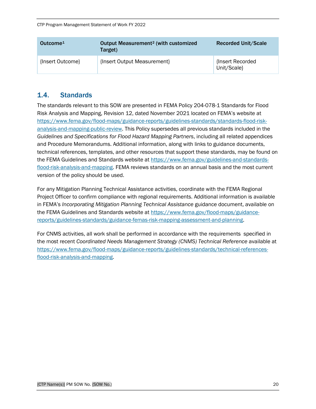| Outcome <sup>1</sup> | Output Measurement <sup>2</sup> (with customized<br>Target) | <b>Recorded Unit/Scale</b>      |
|----------------------|-------------------------------------------------------------|---------------------------------|
| {Insert Outcome}     | {Insert Output Measurement}                                 | {Insert Recorded<br>Unit/Scale} |

## <span id="page-22-0"></span>1.4. Standards

The standards relevant to this SOW are presented in FEMA Policy 204-078-1 Standards for Flood Risk Analysis and Mapping, Revision 12, dated November 2021 located on FEMA's website at [https://www.fema.gov/flood-maps/guidance-reports/guidelines-standards/standards-flood-risk](https://www.fema.gov/flood-maps/guidance-reports/guidelines-standards/standards-flood-risk-analysis-and-mapping-public-review)[analysis-and-mapping-public-review.](https://www.fema.gov/flood-maps/guidance-reports/guidelines-standards/standards-flood-risk-analysis-and-mapping-public-review) This Policy supersedes all previous standards included in the *Guidelines and Specifications for Flood Hazard Mapping Partners*, including all related appendices and Procedure Memorandums. Additional information, along with links to guidance documents, technical references, templates, and other resources that support these standards, may be found on the FEMA Guidelines and Standards website at [https://www.fema.gov/guidelines-and-standards](https://www.fema.gov/guidelines-and-standards-flood-risk-analysis-and-mapping)[flood-risk-analysis-and-mapping.](https://www.fema.gov/guidelines-and-standards-flood-risk-analysis-and-mapping) FEMA reviews standards on an annual basis and the most current version of the policy should be used.

For any Mitigation Planning Technical Assistance activities, coordinate with the FEMA Regional Project Officer to confirm compliance with regional requirements. Additional information is available in FEMA's *Incorporating Mitigation Planning Technical Assistance* guidance document, available on the FEMA Guidelines and Standards website at [https://www.fema.gov/flood-maps/guidance](https://www.fema.gov/flood-maps/guidance-reports/guidelines-standards/guidance-femas-risk-mapping-assessment-and-planning)[reports/guidelines-standards/guidance-femas-risk-mapping-assessment-and-planning.](https://www.fema.gov/flood-maps/guidance-reports/guidelines-standards/guidance-femas-risk-mapping-assessment-and-planning)

<span id="page-22-1"></span>For CNMS activities, all work shall be performed in accordance with the requirements specified in the most recent *Coordinated Needs Management Strategy (CNMS) Technical Reference* available at [https://www.fema.gov/flood-maps/guidance-reports/guidelines-standards/technical-references](https://www.fema.gov/flood-maps/guidance-reports/guidelines-standards/technical-references-flood-risk-analysis-and-mapping)[flood-risk-analysis-and-mapping.](https://www.fema.gov/flood-maps/guidance-reports/guidelines-standards/technical-references-flood-risk-analysis-and-mapping)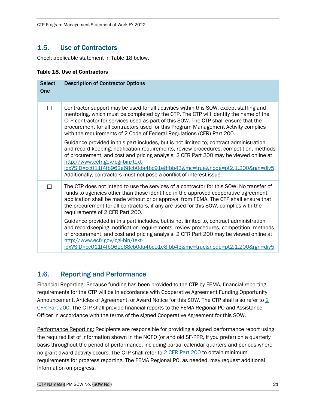CTP Program Management Statement of Work FY 2022

## 1.5. Use of Contractors

Check applicable statement in [Table 18](#page-23-1) below.

#### <span id="page-23-1"></span>Table 18. Use of Contractors

| <b>Select</b><br>One | <b>Description of Contractor Options</b>                                                                                                                                                                                                                                                                                                                                                                                                                              |
|----------------------|-----------------------------------------------------------------------------------------------------------------------------------------------------------------------------------------------------------------------------------------------------------------------------------------------------------------------------------------------------------------------------------------------------------------------------------------------------------------------|
| ┓                    | Contractor support may be used for all activities within this SOW, except staffing and<br>mentoring, which must be completed by the CTP. The CTP will identify the name of the<br>CTP contractor for services used as part of this SOW. The CTP shall ensure that the<br>procurement for all contractors used for this Program Management Activity complies<br>with the requirements of 2 Code of Federal Regulations (CFR) Part 200.                                 |
|                      | Guidance provided in this part includes, but is not limited to, contract administration<br>and record keeping, notification requirements, review procedures, competition, methods<br>of procurement, and cost and pricing analysis. 2 CFR Part 200 may be viewed online at<br>http://www.ecfr.gov/cgi-bin/text-<br>idx?SID=cc011f4fb962e68cb0da4bc91e8fbb43&mc=true&node=pt2.1.200&rgn=div5.<br>Additionally, contractors must not pose a conflict-of-interest issue. |
|                      | The CTP does not intend to use the services of a contractor for this SOW. No transfer of<br>funds to agencies other than those identified in the approved cooperative agreement<br>application shall be made without prior approval from FEMA. The CTP shall ensure that<br>the procurement for all contractors, if any are used for this SOW, complies with the<br>requirements of 2 CFR Part 200.                                                                   |
|                      | Guidance provided in this part includes, but is not limited to, contract administration<br>and recordkeeping, notification requirements, review procedures, competition, methods<br>of procurement, and cost and pricing analysis. 2 CFR Part 200 may be viewed online at<br>http://www.ecfr.gov/cgi-bin/text-<br>idx?SID=cc011f4fb962e68cb0da4bc91e8fbb43&mc=true&node=pt2.1.200&rgn=div5.                                                                           |

## <span id="page-23-0"></span>1.6. Reporting and Performance

Financial Reporting: Because funding has been provided to the CTP by FEMA, financial reporting requirements for the CTP will be in accordance with Cooperative Agreement Funding Opportunity Announcement, Articles of Agreement, or Award Notice for this SOW. The CTP shall also refer to [2](http://www.ecfr.gov/cgi-bin/text-idx?SID=cc011f4fb962e68cb0da4bc91e8fbb43&mc=true&node=pt2.1.200&rgn=div5)  [CFR Part 200.](http://www.ecfr.gov/cgi-bin/text-idx?SID=cc011f4fb962e68cb0da4bc91e8fbb43&mc=true&node=pt2.1.200&rgn=div5) The CTP shall provide financial reports to the FEMA Regional PO and Assistance Officer in accordance with the terms of the signed Cooperative Agreement for this SOW.

Performance Reporting: Recipients are responsible for providing a signed performance report using the required list of information shown in the NOFO (or and old SF-PPR, if you prefer) on a quarterly basis throughout the period of performance, including partial calendar quarters and periods where no grant award activity occurs. The CTP shall refer to [2 CFR Part 200](http://www.ecfr.gov/cgi-bin/text-idx?SID=cc011f4fb962e68cb0da4bc91e8fbb43&mc=true&node=pt2.1.200&rgn=div5) to obtain minimum requirements for progress reporting. The FEMA Regional PO, as needed, may request additional information on progress.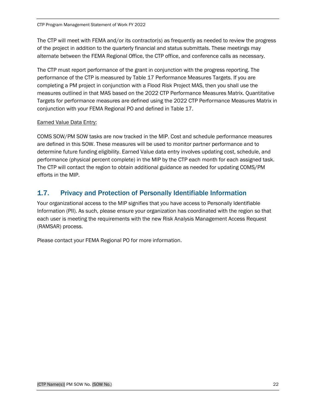CTP Program Management Statement of Work FY 2022

The CTP will meet with FEMA and/or its contractor(s) as frequently as needed to review the progress of the project in addition to the quarterly financial and status submittals. These meetings may alternate between the FEMA Regional Office, the CTP office, and conference calls as necessary.

The CTP must report performance of the grant in conjunction with the progress reporting. The performance of the CTP is measured by [Table 17](#page-20-0) Performance Measures Targets. If you are completing a PM project in conjunction with a Flood Risk Project MAS, then you shall use the measures outlined in that MAS based on the 2022 CTP Performance Measures Matrix. Quantitative Targets for performance measures are defined using the 2022 CTP Performance Measures Matrix in conjunction with your FEMA Regional PO and defined in [Table 17.](#page-20-0)

#### Earned Value Data Entry:

COMS SOW/PM SOW tasks are now tracked in the MIP. Cost and schedule performance measures are defined in this SOW. These measures will be used to monitor partner performance and to determine future funding eligibility. Earned Value data entry involves updating cost, schedule, and performance (physical percent complete) in the MIP by the CTP each month for each assigned task. The CTP will contact the region to obtain additional guidance as needed for updating COMS/PM efforts in the MIP.

## <span id="page-24-0"></span>1.7. Privacy and Protection of Personally Identifiable Information

Your organizational access to the MIP signifies that you have access to Personally Identifiable Information (PII). As such, please ensure your organization has coordinated with the region so that each user is meeting the requirements with the new Risk Analysis Management Access Request (RAMSAR) process.

Please contact your FEMA Regional PO for more information.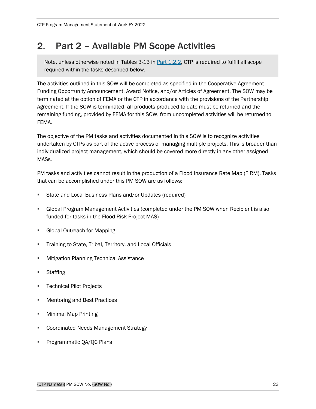# <span id="page-25-0"></span>2. Part 2 – Available PM Scope Activities

Note, unless otherwise noted in Tables 3-13 in [Part 1.2.2,](#page-6-0) CTP is required to fulfill all scope required within the tasks described below.

The activities outlined in this SOW will be completed as specified in the Cooperative Agreement Funding Opportunity Announcement, Award Notice, and/or Articles of Agreement. The SOW may be terminated at the option of FEMA or the CTP in accordance with the provisions of the Partnership Agreement. If the SOW is terminated, all products produced to date must be returned and the remaining funding, provided by FEMA for this SOW, from uncompleted activities will be returned to FEMA.

The objective of the PM tasks and activities documented in this SOW is to recognize activities undertaken by CTPs as part of the active process of managing multiple projects. This is broader than individualized project management, which should be covered more directly in any other assigned MASs.

PM tasks and activities cannot result in the production of a Flood Insurance Rate Map (FIRM). Tasks that can be accomplished under this PM SOW are as follows:

- State and Local Business Plans and/or Updates (required)
- Global Program Management Activities (completed under the PM SOW when Recipient is also funded for tasks in the Flood Risk Project MAS)
- **Global Outreach for Mapping**
- **Training to State, Tribal, Territory, and Local Officials**
- Mitigation Planning Technical Assistance
- **Staffing**
- Technical Pilot Projects
- Mentoring and Best Practices
- Minimal Map Printing
- Coordinated Needs Management Strategy
- **Programmatic QA/QC Plans**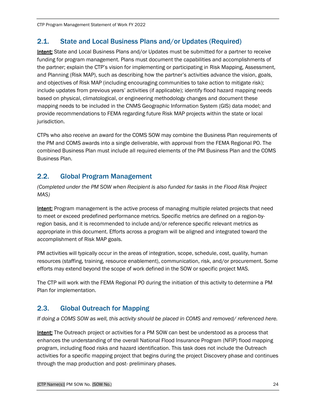## <span id="page-26-0"></span>2.1. State and Local Business Plans and/or Updates (Required)

**Intent:** State and Local Business Plans and/or Updates must be submitted for a partner to receive funding for program management. Plans must document the capabilities and accomplishments of the partner; explain the CTP's vision for implementing or participating in Risk Mapping, Assessment, and Planning (Risk MAP), such as describing how the partner's activities advance the vision, goals, and objectives of Risk MAP (including encouraging communities to take action to mitigate risk); include updates from previous years' activities (if applicable); identify flood hazard mapping needs based on physical, climatological, or engineering methodology changes and document these mapping needs to be included in the CNMS Geographic Information System (GIS) data model; and provide recommendations to FEMA regarding future Risk MAP projects within the state or local jurisdiction.

CTPs who also receive an award for the COMS SOW may combine the Business Plan requirements of the PM and COMS awards into a single deliverable, with approval from the FEMA Regional PO. The combined Business Plan must include all required elements of the PM Business Plan and the COMS Business Plan.

## <span id="page-26-1"></span>2.2. Global Program Management

*(Completed under the PM SOW when Recipient is also funded for tasks in the Flood Risk Project MAS)* 

Intent: Program management is the active process of managing multiple related projects that need to meet or exceed predefined performance metrics. Specific metrics are defined on a region-byregion basis, and it is recommended to include and/or reference specific relevant metrics as appropriate in this document. Efforts across a program will be aligned and integrated toward the accomplishment of Risk MAP goals.

PM activities will typically occur in the areas of integration, scope, schedule, cost, quality, human resources (staffing, training, resource enablement), communication, risk, and/or procurement. Some efforts may extend beyond the scope of work defined in the SOW or specific project MAS.

The CTP will work with the FEMA Regional PO during the initiation of this activity to determine a PM Plan for implementation.

## <span id="page-26-2"></span>2.3. Global Outreach for Mapping

*If doing a COMS SOW as well, this activity should be placed in COMS and removed/ referenced here.*

**Intent:** The Outreach project or activities for a PM SOW can best be understood as a process that enhances the understanding of the overall National Flood Insurance Program (NFIP) flood mapping program, including flood risks and hazard identification. This task does not include the Outreach activities for a specific mapping project that begins during the project Discovery phase and continues through the map production and post- preliminary phases.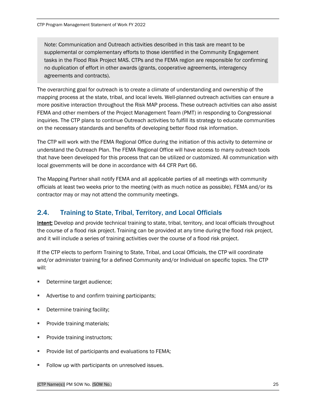Note: Communication and Outreach activities described in this task are meant to be supplemental or complementary efforts to those identified in the Community Engagement tasks in the Flood Risk Project MAS. CTPs and the FEMA region are responsible for confirming no duplication of effort in other awards (grants, cooperative agreements, interagency agreements and contracts).

The overarching goal for outreach is to create a climate of understanding and ownership of the mapping process at the state, tribal, and local levels. Well-planned outreach activities can ensure a more positive interaction throughout the Risk MAP process. These outreach activities can also assist FEMA and other members of the Project Management Team (PMT) in responding to Congressional inquiries. The CTP plans to continue Outreach activities to fulfill its strategy to educate communities on the necessary standards and benefits of developing better flood risk information.

The CTP will work with the FEMA Regional Office during the initiation of this activity to determine or understand the Outreach Plan. The FEMA Regional Office will have access to many outreach tools that have been developed for this process that can be utilized or customized. All communication with local governments will be done in accordance with 44 CFR Part 66.

The Mapping Partner shall notify FEMA and all applicable parties of all meetings with community officials at least two weeks prior to the meeting (with as much notice as possible). FEMA and/or its contractor may or may not attend the community meetings.

## <span id="page-27-0"></span>2.4. Training to State, Tribal, Territory, and Local Officials

Intent: Develop and provide technical training to state, tribal, territory, and local officials throughout the course of a flood risk project. Training can be provided at any time during the flood risk project, and it will include a series of training activities over the course of a flood risk project.

If the CTP elects to perform Training to State, Tribal, and Local Officials, the CTP will coordinate and/or administer training for a defined Community and/or Individual on specific topics. The CTP will:

- Determine target audience;
- **Advertise to and confirm training participants;**
- Determine training facility;
- Provide training materials;
- Provide training instructors;
- Provide list of participants and evaluations to FEMA;
- Follow up with participants on unresolved issues.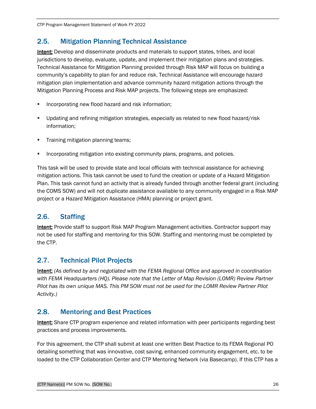## <span id="page-28-0"></span>2.5. Mitigation Planning Technical Assistance

**Intent:** Develop and disseminate products and materials to support states, tribes, and local jurisdictions to develop, evaluate, update, and implement their mitigation plans and strategies. Technical Assistance for Mitigation Planning provided through Risk MAP will focus on building a community's capability to plan for and reduce risk. Technical Assistance will encourage hazard mitigation plan implementation and advance community hazard mitigation actions through the Mitigation Planning Process and Risk MAP projects. The following steps are emphasized:

- Incorporating new flood hazard and risk information;
- Updating and refining mitigation strategies, especially as related to new flood hazard/risk information;
- Training mitigation planning teams;
- **Incorporating mitigation into existing community plans, programs, and policies.**

This task will be used to provide state and local officials with technical assistance for achieving mitigation actions. This task cannot be used to fund the creation or update of a Hazard Mitigation Plan. This task cannot fund an activity that is already funded through another federal grant (including the COMS SOW) and will not duplicate assistance available to any community engaged in a Risk MAP project or a Hazard Mitigation Assistance (HMA) planning or project grant.

## <span id="page-28-1"></span>2.6. Staffing

Intent: Provide staff to support Risk MAP Program Management activities. Contractor support may not be used for staffing and mentoring for this SOW. Staffing and mentoring must be completed by the CTP.

## <span id="page-28-2"></span>2.7. Technical Pilot Projects

Intent: *(As defined by and negotiated with the FEMA Regional Office and approved in coordination with FEMA Headquarters (HQ). Please note that the Letter of Map Revision (LOMR) Review Partner Pilot has its own unique MAS. This PM SOW must not be used for the LOMR Review Partner Pilot Activity.)*

## <span id="page-28-3"></span>2.8. Mentoring and Best Practices

Intent: Share CTP program experience and related information with peer participants regarding best practices and process improvements.

For this agreement, the CTP shall submit at least one written Best Practice to its FEMA Regional PO detailing something that was innovative, cost saving, enhanced community engagement, etc. to be loaded to the CTP Collaboration Center and CTP Mentoring Network (via Basecamp). If this CTP has a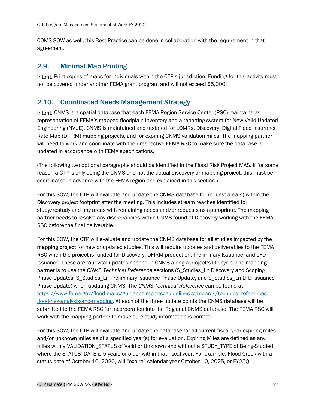COMS SOW as well, this Best Practice can be done in collaboration with the requirement in that agreement.

## <span id="page-29-0"></span>2.9. Minimal Map Printing

Intent: Print copies of maps for individuals within the CTP's jurisdiction. Funding for this activity must not be covered under another FEMA grant program and will not exceed \$5,000.

## <span id="page-29-1"></span>2.10. Coordinated Needs Management Strategy

**Intent:** CNMS is a spatial database that each FEMA Region Service Center (RSC) maintains as representation of FEMA's mapped floodplain inventory and a reporting system for New Valid Updated Engineering (NVUE). CNMS is maintained and updated for LOMRs, Discovery, Digital Flood Insurance Rate Map (DFIRM) mapping projects, and for expiring CNMS validation miles. The mapping partner will need to work and coordinate with their respective FEMA RSC to make sure the database is updated in accordance with FEMA specifications.

(The following two optional paragraphs should be identified in the Flood Risk Project MAS. If for some reason a CTP is only doing the CNMS and not the actual discovery or mapping project, this must be coordinated in advance with the FEMA region and explained in this section.)

For this SOW, the CTP will evaluate and update the CNMS database for request area(s) within the Discovery project footprint after the meeting. This includes stream reaches identified for study/restudy and any areas with remaining needs and/or requests as appropriate. The mapping partner needs to resolve any discrepancies within CNMS found at Discovery working with the FEMA RSC before the final deliverable.

For this SOW, the CTP will evaluate and update the CNMS database for all studies impacted by the mapping project for new or updated studies. This will require updates and deliverables to the FEMA RSC when the project is funded for Discovery, DFIRM production, Preliminary Issuance, and LFD Issuance. These are four vital updates needed in CNMS along a project's life cycle. The mapping partner is to use the *CNMS Technical Reference* sections (S\_Studies\_Ln Discovery and Scoping Phase Updates, S\_Studies\_Ln Preliminary Issuance Phase Update, and S\_Studies\_Ln LFD Issuance Phase Update) when updating CNMS. The *CNMS Technical Reference* can be found at [https://www.fema.gov/flood-maps/guidance-reports/guidelines-standards/technical-references](https://www.fema.gov/flood-maps/guidance-reports/guidelines-standards/technical-references-flood-risk-analysis-and-mapping)[flood-risk-analysis-and-mapping.](https://www.fema.gov/flood-maps/guidance-reports/guidelines-standards/technical-references-flood-risk-analysis-and-mapping) At each of the three update points the CNMS database will be submitted to the FEMA RSC for incorporation into the Regional CNMS database. The FEMA RSC will work with the mapping partner to make sure study information is correct.

For this SOW, the CTP will evaluate and update the database for all current fiscal year expiring miles and/or unknown miles as of a specified year(s) for evaluation. Expiring Miles are defined as any miles with a VALIDATION\_STATUS of Valid or Unknown and without a STUDY\_TYPE of Being-Studied where the STATUS DATE is 5 years or older within that fiscal year. For example, Flood Creek with a status date of October 10, 2020, will "expire" calendar year October 10, 2025, or FY25Q1.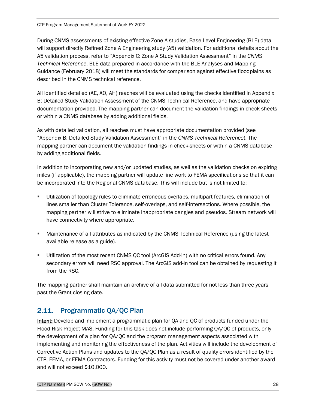During CNMS assessments of existing effective Zone A studies, Base Level Engineering (BLE) data will support directly Refined Zone A Engineering study (A5) validation. For additional details about the A5 validation process, refer to "Appendix C: Zone A Study Validation Assessment" in the *CNMS Technical Reference*. BLE data prepared in accordance with the BLE Analyses and Mapping Guidance (February 2018) will meet the standards for comparison against effective floodplains as described in the CNMS technical reference.

All identified detailed (AE, AO, AH) reaches will be evaluated using the checks identified in Appendix B: Detailed Study Validation Assessment of the CNMS Technical Reference, and have appropriate documentation provided. The mapping partner can document the validation findings in check-sheets or within a CNMS database by adding additional fields.

As with detailed validation, all reaches must have appropriate documentation provided (see "Appendix B: Detailed Study Validation Assessment" in the *CNMS Technical Reference*). The mapping partner can document the validation findings in check-sheets or within a CNMS database by adding additional fields.

In addition to incorporating new and/or updated studies, as well as the validation checks on expiring miles (if applicable), the mapping partner will update line work to FEMA specifications so that it can be incorporated into the Regional CNMS database. This will include but is not limited to:

- Utilization of topology rules to eliminate erroneous overlaps, multipart features, elimination of lines smaller than Cluster Tolerance, self-overlaps, and self-intersections. Where possible, the mapping partner will strive to eliminate inappropriate dangles and pseudos. Stream network will have connectivity where appropriate.
- Maintenance of all attributes as indicated by the CNMS Technical Reference (using the latest available release as a guide).
- Utilization of the most recent CNMS QC tool (ArcGIS Add-in) with no critical errors found. Any secondary errors will need RSC approval. The ArcGIS add-in tool can be obtained by requesting it from the RSC.

The mapping partner shall maintain an archive of all data submitted for not less than three years past the Grant closing date.

## <span id="page-30-0"></span>2.11. Programmatic QA/QC Plan

**Intent:** Develop and implement a programmatic plan for QA and QC of products funded under the Flood Risk Project MAS. Funding for this task does not include performing QA/QC of products, only the development of a plan for QA/QC and the program management aspects associated with implementing and monitoring the effectiveness of the plan. Activities will include the development of Corrective Action Plans and updates to the QA/QC Plan as a result of quality errors identified by the CTP, FEMA, or FEMA Contractors. Funding for this activity must not be covered under another award and will not exceed \$10,000.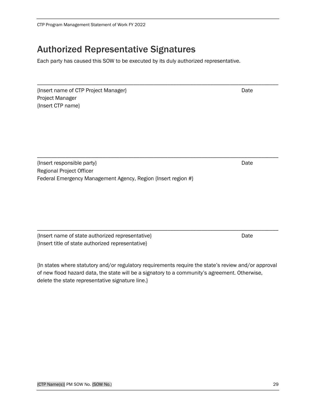# <span id="page-31-0"></span>Authorized Representative Signatures

Each party has caused this SOW to be executed by its duly authorized representative.

\_\_\_\_\_\_\_\_\_\_\_\_\_\_\_\_\_\_\_\_\_\_\_\_\_\_\_\_\_\_\_\_\_\_\_\_\_\_\_\_\_\_\_\_\_\_\_\_\_\_\_\_\_\_\_\_\_\_\_\_\_\_\_\_\_\_\_\_\_\_\_\_\_\_\_\_\_\_\_\_\_\_\_\_\_

\_\_\_\_\_\_\_\_\_\_\_\_\_\_\_\_\_\_\_\_\_\_\_\_\_\_\_\_\_\_\_\_\_\_\_\_\_\_\_\_\_\_\_\_\_\_\_\_\_\_\_\_\_\_\_\_\_\_\_\_\_\_\_\_\_\_\_\_\_\_\_\_\_\_\_\_\_\_\_\_\_\_\_\_\_

{Insert name of CTP Project Manager} discussed and the control of Date Project Manager {Insert CTP name}

{Insert responsible party} Date and the set of the set of the set of the set of the set of the set of the set of the set of the set of the set of the set of the set of the set of the set of the set of the set of the set of Regional Project Officer Federal Emergency Management Agency, Region {Insert region #}

{Insert name of state authorized representative} discussed and the state Date {Insert title of state authorized representative}

{In states where statutory and/or regulatory requirements require the state's review and/or approval of new flood hazard data, the state will be a signatory to a community's agreement. Otherwise, delete the state representative signature line.}

\_\_\_\_\_\_\_\_\_\_\_\_\_\_\_\_\_\_\_\_\_\_\_\_\_\_\_\_\_\_\_\_\_\_\_\_\_\_\_\_\_\_\_\_\_\_\_\_\_\_\_\_\_\_\_\_\_\_\_\_\_\_\_\_\_\_\_\_\_\_\_\_\_\_\_\_\_\_\_\_\_\_\_\_\_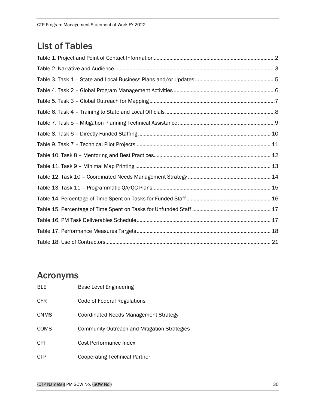# <span id="page-32-0"></span>List of Tables

# <span id="page-32-1"></span>Acronyms

| BLE.        | <b>Base Level Engineering</b>                       |
|-------------|-----------------------------------------------------|
| CFR         | Code of Federal Regulations                         |
| <b>CNMS</b> | Coordinated Needs Management Strategy               |
| COMS        | <b>Community Outreach and Mitigation Strategies</b> |
| CPI         | Cost Performance Index                              |
| CTP         | <b>Cooperating Technical Partner</b>                |